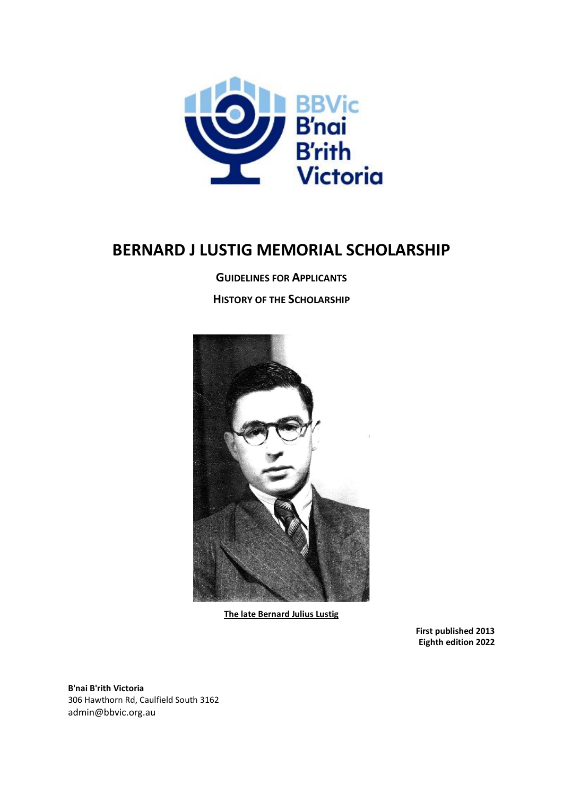

# **BERNARD J LUSTIG MEMORIAL SCHOLARSHIP**

**GUIDELINES FOR APPLICANTS**

**HISTORY OF THE SCHOLARSHIP**



**The late Bernard Julius Lustig**

**First published 2013 Eighth edition 2022**

**B'nai B'rith Victoria** 306 Hawthorn Rd, Caulfield South 3162 admin@bbvic.org.au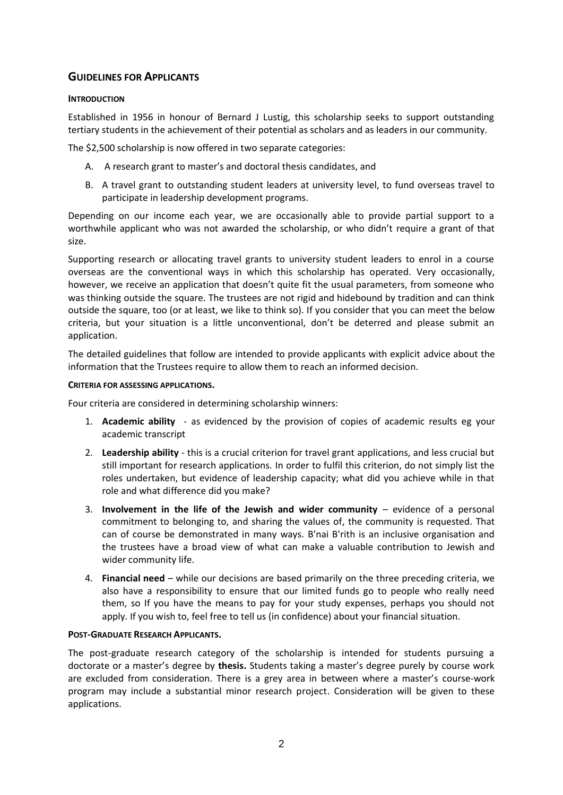# **GUIDELINES FOR APPLICANTS**

## **INTRODUCTION**

Established in 1956 in honour of Bernard J Lustig, this scholarship seeks to support outstanding tertiary students in the achievement of their potential as scholars and as leaders in our community.

The \$2,500 scholarship is now offered in two separate categories:

- A. A research grant to master's and doctoral thesis candidates, and
- B. A travel grant to outstanding student leaders at university level, to fund overseas travel to participate in leadership development programs.

Depending on our income each year, we are occasionally able to provide partial support to a worthwhile applicant who was not awarded the scholarship, or who didn't require a grant of that size.

Supporting research or allocating travel grants to university student leaders to enrol in a course overseas are the conventional ways in which this scholarship has operated. Very occasionally, however, we receive an application that doesn't quite fit the usual parameters, from someone who was thinking outside the square. The trustees are not rigid and hidebound by tradition and can think outside the square, too (or at least, we like to think so). If you consider that you can meet the below criteria, but your situation is a little unconventional, don't be deterred and please submit an application.

The detailed guidelines that follow are intended to provide applicants with explicit advice about the information that the Trustees require to allow them to reach an informed decision.

### **CRITERIA FOR ASSESSING APPLICATIONS.**

Four criteria are considered in determining scholarship winners:

- 1. **Academic ability**  as evidenced by the provision of copies of academic results eg your academic transcript
- 2. **Leadership ability** this is a crucial criterion for travel grant applications, and less crucial but still important for research applications. In order to fulfil this criterion, do not simply list the roles undertaken, but evidence of leadership capacity; what did you achieve while in that role and what difference did you make?
- 3. **Involvement in the life of the Jewish and wider community** evidence of a personal commitment to belonging to, and sharing the values of, the community is requested. That can of course be demonstrated in many ways. B'nai B'rith is an inclusive organisation and the trustees have a broad view of what can make a valuable contribution to Jewish and wider community life.
- 4. **Financial need** while our decisions are based primarily on the three preceding criteria, we also have a responsibility to ensure that our limited funds go to people who really need them, so If you have the means to pay for your study expenses, perhaps you should not apply. If you wish to, feel free to tell us (in confidence) about your financial situation.

#### **POST-GRADUATE RESEARCH APPLICANTS.**

The post-graduate research category of the scholarship is intended for students pursuing a doctorate or a master's degree by **thesis.** Students taking a master's degree purely by course work are excluded from consideration. There is a grey area in between where a master's course-work program may include a substantial minor research project. Consideration will be given to these applications.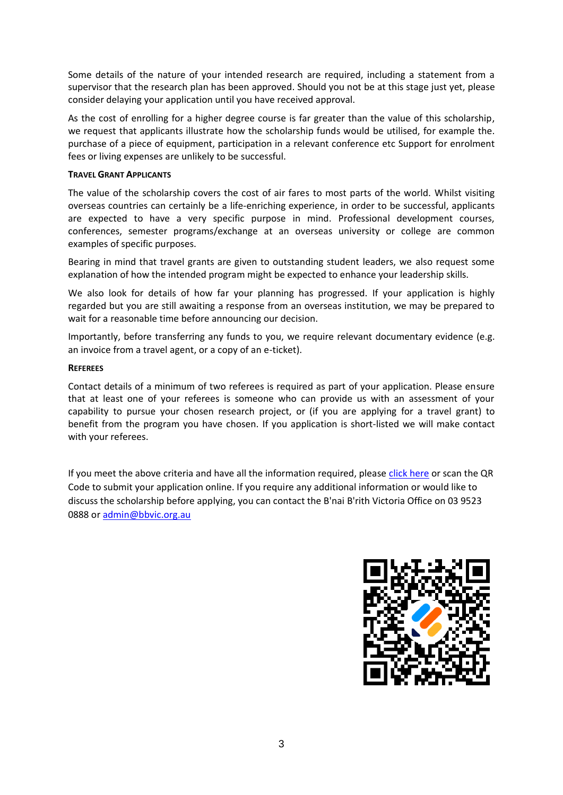Some details of the nature of your intended research are required, including a statement from a supervisor that the research plan has been approved. Should you not be at this stage just yet, please consider delaying your application until you have received approval.

As the cost of enrolling for a higher degree course is far greater than the value of this scholarship, we request that applicants illustrate how the scholarship funds would be utilised, for example the. purchase of a piece of equipment, participation in a relevant conference etc Support for enrolment fees or living expenses are unlikely to be successful.

# **TRAVEL GRANT APPLICANTS**

The value of the scholarship covers the cost of air fares to most parts of the world. Whilst visiting overseas countries can certainly be a life-enriching experience, in order to be successful, applicants are expected to have a very specific purpose in mind. Professional development courses, conferences, semester programs/exchange at an overseas university or college are common examples of specific purposes.

Bearing in mind that travel grants are given to outstanding student leaders, we also request some explanation of how the intended program might be expected to enhance your leadership skills.

We also look for details of how far your planning has progressed. If your application is highly regarded but you are still awaiting a response from an overseas institution, we may be prepared to wait for a reasonable time before announcing our decision.

Importantly, before transferring any funds to you, we require relevant documentary evidence (e.g. an invoice from a travel agent, or a copy of an e-ticket).

# **REFEREES**

Contact details of a minimum of two referees is required as part of your application. Please ensure that at least one of your referees is someone who can provide us with an assessment of your capability to pursue your chosen research project, or (if you are applying for a travel grant) to benefit from the program you have chosen. If you application is short-listed we will make contact with your referees.

If you meet the above criteria and have all the information required, please [click](https://form.jotform.com/VictoriaAdmin/bnai-brith-victoria---bernard-j-lus) here or scan the QR Code to submit your application online. If you require any additional information or would like to discuss the scholarship before applying, you can contact the B'nai B'rith Victoria Office on 03 9523 0888 or [admin@bbvic.org.au](mailto:admin@bbvic.org.au)

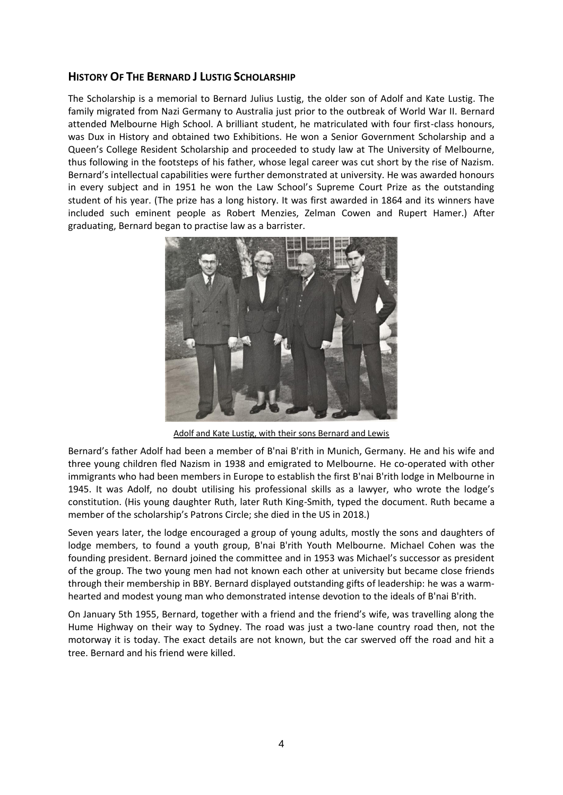# **HISTORY OF THE BERNARD J LUSTIG SCHOLARSHIP**

The Scholarship is a memorial to Bernard Julius Lustig, the older son of Adolf and Kate Lustig. The family migrated from Nazi Germany to Australia just prior to the outbreak of World War II. Bernard attended Melbourne High School. A brilliant student, he matriculated with four first-class honours, was Dux in History and obtained two Exhibitions. He won a Senior Government Scholarship and a Queen's College Resident Scholarship and proceeded to study law at The University of Melbourne, thus following in the footsteps of his father, whose legal career was cut short by the rise of Nazism. Bernard's intellectual capabilities were further demonstrated at university. He was awarded honours in every subject and in 1951 he won the Law School's Supreme Court Prize as the outstanding student of his year. (The prize has a long history. It was first awarded in 1864 and its winners have included such eminent people as Robert Menzies, Zelman Cowen and Rupert Hamer.) After graduating, Bernard began to practise law as a barrister.



Adolf and Kate Lustig, with their sons Bernard and Lewis

Bernard's father Adolf had been a member of B'nai B'rith in Munich, Germany. He and his wife and three young children fled Nazism in 1938 and emigrated to Melbourne. He co-operated with other immigrants who had been members in Europe to establish the first B'nai B'rith lodge in Melbourne in 1945. It was Adolf, no doubt utilising his professional skills as a lawyer, who wrote the lodge's constitution. (His young daughter Ruth, later Ruth King-Smith, typed the document. Ruth became a member of the scholarship's Patrons Circle; she died in the US in 2018.)

Seven years later, the lodge encouraged a group of young adults, mostly the sons and daughters of lodge members, to found a youth group, B'nai B'rith Youth Melbourne. Michael Cohen was the founding president. Bernard joined the committee and in 1953 was Michael's successor as president of the group. The two young men had not known each other at university but became close friends through their membership in BBY. Bernard displayed outstanding gifts of leadership: he was a warmhearted and modest young man who demonstrated intense devotion to the ideals of B'nai B'rith.

On January 5th 1955, Bernard, together with a friend and the friend's wife, was travelling along the Hume Highway on their way to Sydney. The road was just a two-lane country road then, not the motorway it is today. The exact details are not known, but the car swerved off the road and hit a tree. Bernard and his friend were killed.